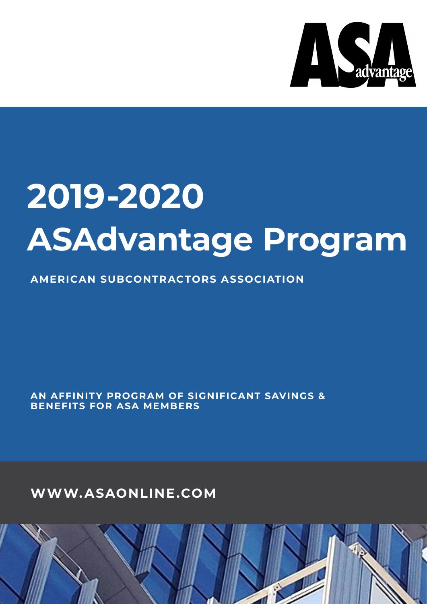

# **2019-2020 ASAdvantage Program**

**AMERICAN SUBCONTRACTORS ASSOCIATION**

**AN AFFINIT Y PROGRAM OF SIGNIFICANT SAVINGS & BENEFITS FOR ASA MEMBERS**

**WWW.ASAONLINE.COM**

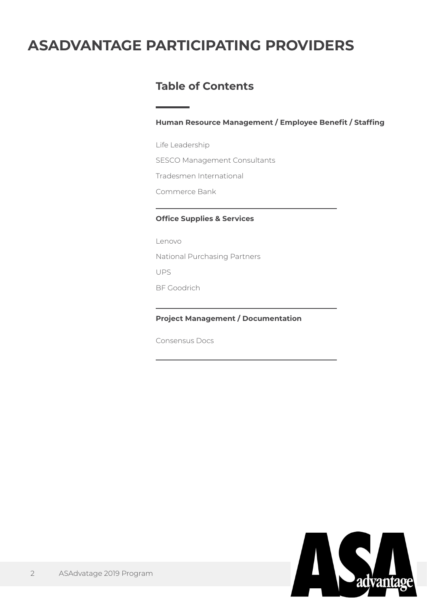# **ASADVANTAGE PARTICIPATING PROVIDERS**

## **Table of Contents**

**Human Resource Management / Employee Benefit / Staffing**

Life Leadership SESCO Management Consultants Tradesmen International Commerce Bank

### **Office Supplies & Services**

Lenovo National Purchasing Partners UPS BF Goodrich

### **Project Management / Documentation**

Consensus Docs

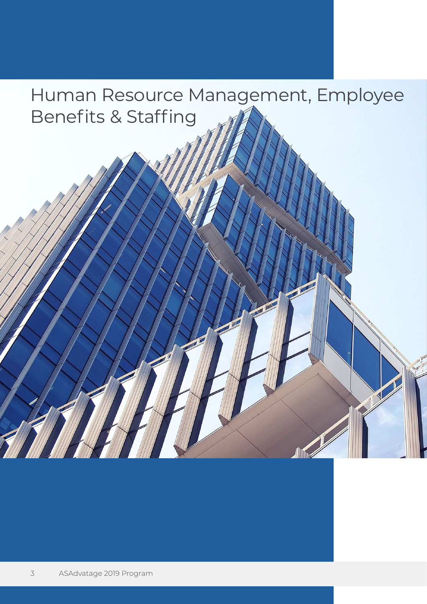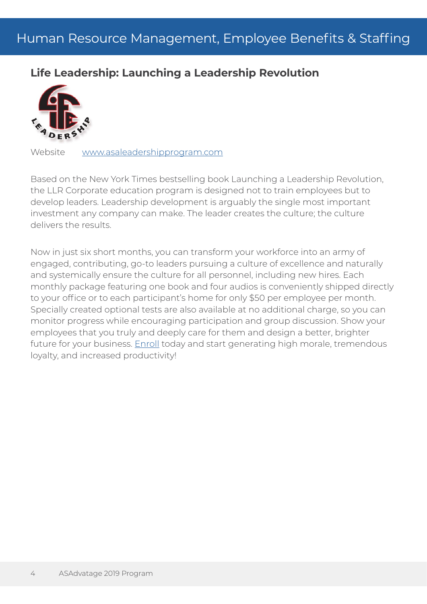# **Life Leadership: Launching a Leadership Revolution**



Website <www.asaleadershipprogram.com>

Based on the New York Times bestselling book Launching a Leadership Revolution, the LLR Corporate education program is designed not to train employees but to develop leaders. Leadership development is arguably the single most important investment any company can make. The leader creates the culture; the culture delivers the results.

Now in just six short months, you can transform your workforce into an army of engaged, contributing, go-to leaders pursuing a culture of excellence and naturally and systemically ensure the culture for all personnel, including new hires. Each monthly package featuring one book and four audios is conveniently shipped directly to your office or to each participant's home for only \$50 per employee per month. Specially created optional tests are also available at no additional charge, so you can monitor progress while encouraging participation and group discussion. Show your employees that you truly and deeply care for them and design a better, brighter future for your business. [Enroll](http://www.lifeleadership.com/enroll/customerenrollment.aspx?corp=true&SponsorID=61241648) today and start generating high morale, tremendous loyalty, and increased productivity!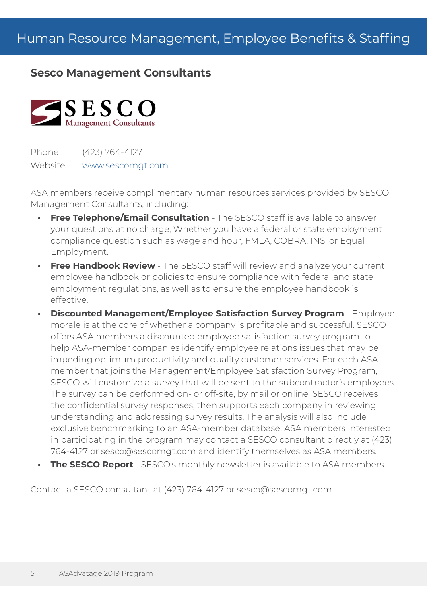### **Sesco Management Consultants**



Phone (423) 764-4127 Website <www.sescomgt.com>

ASA members receive complimentary human resources services provided by SESCO Management Consultants, including:

- **Free Telephone/Email Consultation** The SESCO staff is available to answer your questions at no charge, Whether you have a federal or state employment compliance question such as wage and hour, FMLA, COBRA, INS, or Equal Employment.
- **Free Handbook Review** The SESCO staff will review and analyze your current employee handbook or policies to ensure compliance with federal and state employment regulations, as well as to ensure the employee handbook is effective.
- **• Discounted Management/Employee Satisfaction Survey Program** Employee morale is at the core of whether a company is profitable and successful. SESCO offers ASA members a discounted employee satisfaction survey program to help ASA-member companies identify employee relations issues that may be impeding optimum productivity and quality customer services. For each ASA member that joins the Management/Employee Satisfaction Survey Program, SESCO will customize a survey that will be sent to the subcontractor's employees. The survey can be performed on- or off-site, by mail or online. SESCO receives the confidential survey responses, then supports each company in reviewing, understanding and addressing survey results. The analysis will also include exclusive benchmarking to an ASA-member database. ASA members interested in participating in the program may contact a SESCO consultant directly at (423) 764-4127 or sesco@sescomgt.com and identify themselves as ASA members.
- **• The SESCO Report** SESCO's monthly newsletter is available to ASA members.

Contact a SESCO consultant at (423) 764-4127 or sesco@sescomgt.com.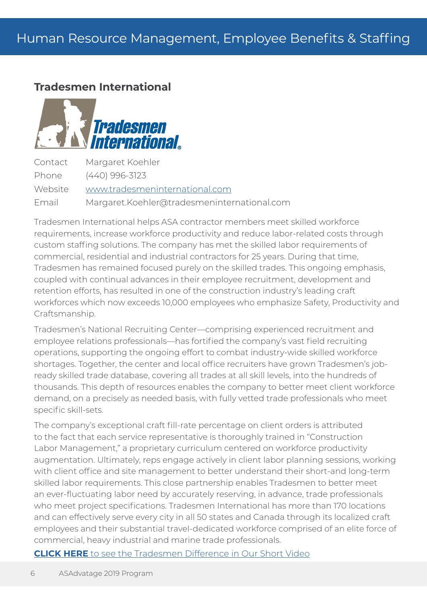### **Tradesmen International**



Contact Margaret Koehler Phone (440) 996-3123 Website <www.tradesmeninternational.com> Email Margaret.Koehler@tradesmeninternational.com

Tradesmen International helps ASA contractor members meet skilled workforce requirements, increase workforce productivity and reduce labor-related costs through custom staffing solutions. The company has met the skilled labor requirements of commercial, residential and industrial contractors for 25 years. During that time, Tradesmen has remained focused purely on the skilled trades. This ongoing emphasis, coupled with continual advances in their employee recruitment, development and retention efforts, has resulted in one of the construction industry's leading craft workforces which now exceeds 10,000 employees who emphasize Safety, Productivity and Craftsmanship.

Tradesmen's National Recruiting Center—comprising experienced recruitment and employee relations professionals—has fortified the company's vast field recruiting operations, supporting the ongoing effort to combat industry-wide skilled workforce shortages. Together, the center and local office recruiters have grown Tradesmen's jobready skilled trade database, covering all trades at all skill levels, into the hundreds of thousands. This depth of resources enables the company to better meet client workforce demand, on a precisely as needed basis, with fully vetted trade professionals who meet specific skill-sets.

The company's exceptional craft fill-rate percentage on client orders is attributed to the fact that each service representative is thoroughly trained in "Construction Labor Management," a proprietary curriculum centered on workforce productivity augmentation. Ultimately, reps engage actively in client labor planning sessions, working with client office and site management to better understand their short-and long-term skilled labor requirements. This close partnership enables Tradesmen to better meet an ever-fluctuating labor need by accurately reserving, in advance, trade professionals who meet project specifications. Tradesmen International has more than 170 locations and can effectively serve every city in all 50 states and Canada through its localized craft employees and their substantial travel-dedicated workforce comprised of an elite force of commercial, heavy industrial and marine trade professionals.

**CLICK HERE** [to see the Tradesmen Difference in Our Short Video](https://www.youtube.com/watch?v=LJ6-UZZCimE&feature=youtu.be)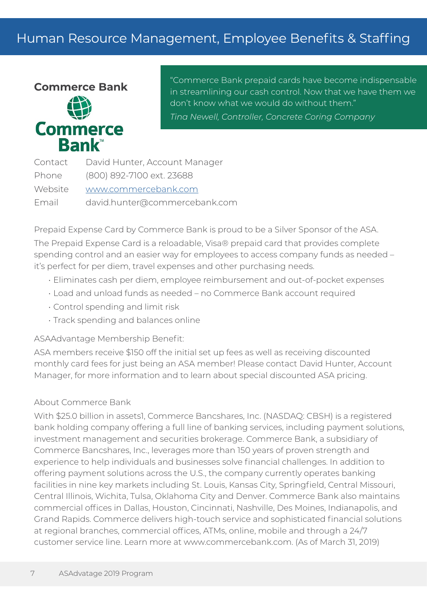# Human Resource Management, Employee Benefits & Staffing



"Commerce Bank prepaid cards have become indispensable in streamlining our cash control. Now that we have them we don't know what we would do without them." *Tina Newell, Controller, Concrete Coring Company*

| Contact | David Hunter, Account Manager |
|---------|-------------------------------|
| Phone   | (800) 892-7100 ext. 23688     |
| Website | www.commercebank.com          |
| Email   | david.hunter@commercebank.com |

Prepaid Expense Card by Commerce Bank is proud to be a Silver Sponsor of the ASA. The Prepaid Expense Card is a reloadable, Visa® prepaid card that provides complete spending control and an easier way for employees to access company funds as needed – it's perfect for per diem, travel expenses and other purchasing needs.

- Eliminates cash per diem, employee reimbursement and out-of-pocket expenses
- Load and unload funds as needed no Commerce Bank account required
- Control spending and limit risk
- Track spending and balances online

#### ASAAdvantage Membership Benefit:

ASA members receive \$150 off the initial set up fees as well as receiving discounted monthly card fees for just being an ASA member! Please contact David Hunter, Account Manager, for more information and to learn about special discounted ASA pricing.

#### About Commerce Bank

With \$25.0 billion in assets1, Commerce Bancshares, Inc. (NASDAQ: CBSH) is a registered bank holding company offering a full line of banking services, including payment solutions, investment management and securities brokerage. Commerce Bank, a subsidiary of Commerce Bancshares, Inc., leverages more than 150 years of proven strength and experience to help individuals and businesses solve financial challenges. In addition to offering payment solutions across the U.S., the company currently operates banking facilities in nine key markets including St. Louis, Kansas City, Springfield, Central Missouri, Central Illinois, Wichita, Tulsa, Oklahoma City and Denver. Commerce Bank also maintains commercial offices in Dallas, Houston, Cincinnati, Nashville, Des Moines, Indianapolis, and Grand Rapids. Commerce delivers high-touch service and sophisticated financial solutions at regional branches, commercial offices, ATMs, online, mobile and through a 24/7 customer service line. Learn more at www.commercebank.com. (As of March 31, 2019)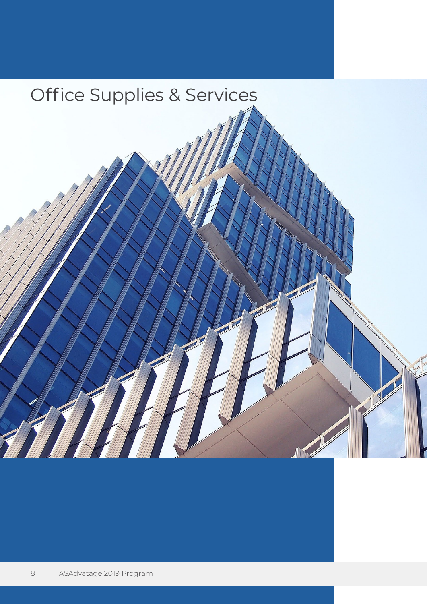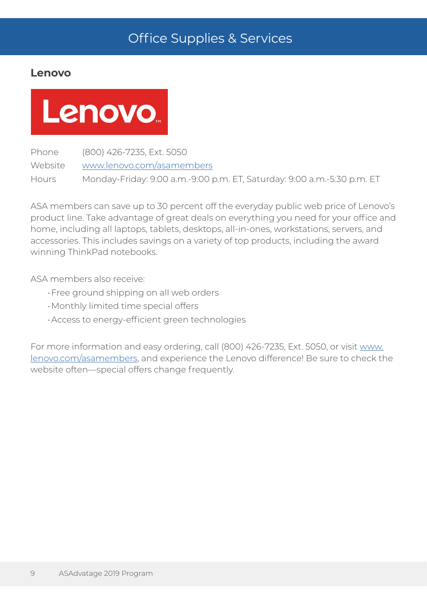### **Lenovo**

# Lenovo.

Phone (800) 426-7235, Ext. 5050 Website <www.lenovo.com/asamembers> Hours Monday-Friday: 9:00 a.m.-9:00 p.m. ET, Saturday: 9:00 a.m.-5:30 p.m. ET

ASA members can save up to 30 percent off the everyday public web price of Lenovo's product line. Take advantage of great deals on everything you need for your office and home, including all laptops, tablets, desktops, all-in-ones, workstations, servers, and accessories. This includes savings on a variety of top products, including the award winning ThinkPad notebooks.

ASA members also receive:

- •Free ground shipping on all web orders
- •Monthly limited time special offers
- •Access to energy-efficient green technologies

For more information and easy ordering, call (800) 426-7235, Ext. 5050, or visit [www.](www.lenovo.com/asamembers) [lenovo.com/asamembers,](www.lenovo.com/asamembers) and experience the Lenovo difference! Be sure to check the website often—special offers change frequently.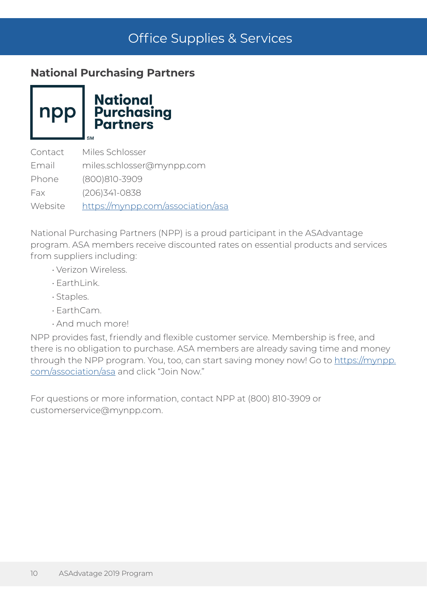## **National Purchasing Partners**

npp

**National<br>Purchasing<br>Partners** 

Contact Miles Schlosser Email miles.schlosser@mynpp.com Phone (800)810-3909 Fax (206)341-0838 Website https://mynpp.com/association/asa

National Purchasing Partners (NPP) is a proud participant in the ASAdvantage program. ASA members receive discounted rates on essential products and services from suppliers including:

- Verizon Wireless.
- EarthLink.
- Staples.
- EarthCam.
- And much more!

NPP provides fast, friendly and flexible customer service. Membership is free, and there is no obligation to purchase. ASA members are already saving time and money through the NPP program. You, too, can start saving money now! Go to https://mynpp. com/association/asa and click "Join Now."

For questions or more information, contact NPP at (800) 810-3909 or customerservice@mynpp.com.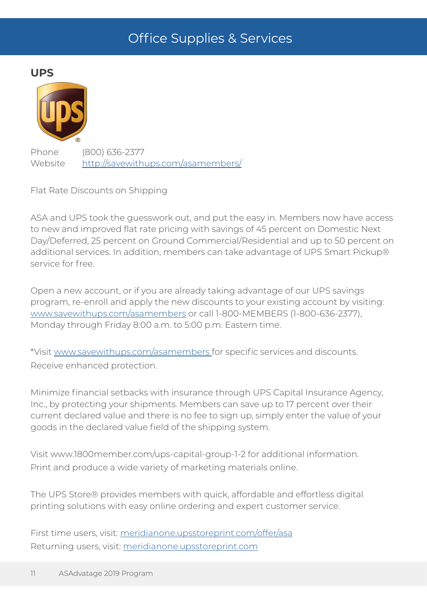**UPS**



Phone (800) 636-2377 Website http://savewithups.com/asamembers/

Flat Rate Discounts on Shipping

ASA and UPS took the guesswork out, and put the easy in. Members now have access to new and improved flat rate pricing with savings of 45 percent on Domestic Next Day/Deferred, 25 percent on Ground Commercial/Residential and up to 50 percent on additional services. In addition, members can take advantage of UPS Smart Pickup® service for free.

Open a new account, or if you are already taking advantage of our UPS savings program, re-enroll and apply the new discounts to your existing account by visiting: <www.savewithups.com/asamembers>or call 1-800-MEMBERS (1-800-636-2377), Monday through Friday 8:00 a.m. to 5:00 p.m. Eastern time.

\*Visit<www.savewithups.com/asamembers>for specific services and discounts. Receive enhanced protection.

Minimize financial setbacks with insurance through UPS Capital Insurance Agency, Inc., by protecting your shipments. Members can save up to 17 percent over their current declared value and there is no fee to sign up, simply enter the value of your goods in the declared value field of the shipping system.

Visit www.1800member.com/ups-capital-group-1-2 for additional information. Print and produce a wide variety of marketing materials online.

The UPS Store® provides members with quick, affordable and effortless digital printing solutions with easy online ordering and expert customer service.

First time users, visit: <meridianone.upsstoreprint.com/offer/asa> Returning users, visit: <meridianone.upsstoreprint.com>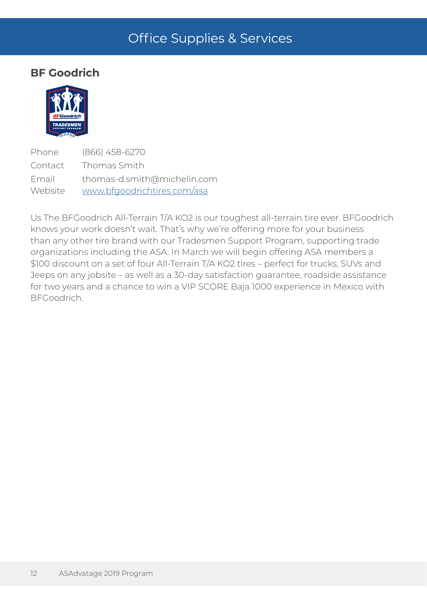### **BF Goodrich**



Phone (866) 458-6270 Contact Thomas Smith Email thomas-d.smith@michelin.com Website [www.bfgoodrichtires.com/asa](http://www.bfgoodrichtires.com/asa)

Us The BFGoodrich All-Terrain T/A KO2 is our toughest all-terrain tire ever. BFGoodrich knows your work doesn't wait. That's why we're offering more for your business than any other tire brand with our Tradesmen Support Program, supporting trade organizations including the ASA. In March we will begin offering ASA members a \$100 discount on a set of four All-Terrain T/A KO2 tires – perfect for trucks, SUVs and Jeeps on any jobsite – as well as a 30-day satisfaction guarantee, roadside assistance for two years and a chance to win a VIP SCORE Baja 1000 experience in Mexico with BFGoodrich.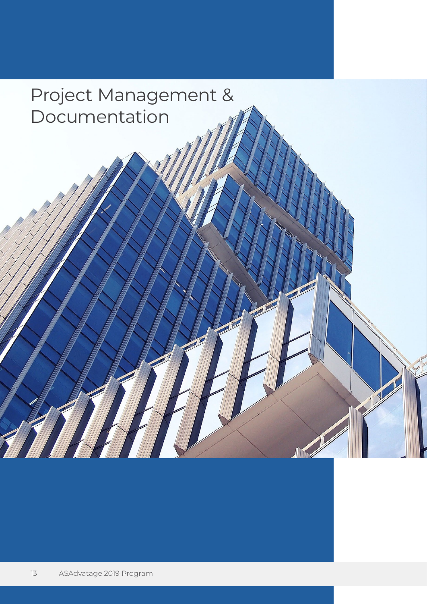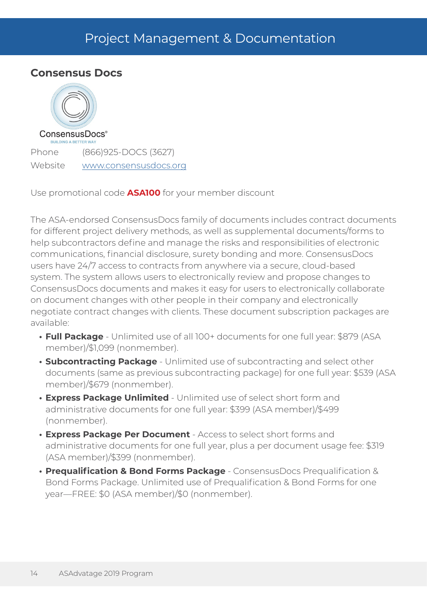# Project Management & Documentation

### **Consensus Docs**



Phone (866)925-DOCS (3627) Website www.consensusdocs.org

Use promotional code **ASA100** for your member discount

The ASA-endorsed ConsensusDocs family of documents includes contract documents for different project delivery methods, as well as supplemental documents/forms to help subcontractors define and manage the risks and responsibilities of electronic communications, financial disclosure, surety bonding and more. ConsensusDocs users have 24/7 access to contracts from anywhere via a secure, cloud-based system. The system allows users to electronically review and propose changes to ConsensusDocs documents and makes it easy for users to electronically collaborate on document changes with other people in their company and electronically negotiate contract changes with clients. These document subscription packages are available:

- **• Full Package** Unlimited use of all 100+ documents for one full year: \$879 (ASA member)/\$1,099 (nonmember).
- **• Subcontracting Package** Unlimited use of subcontracting and select other documents (same as previous subcontracting package) for one full year: \$539 (ASA member)/\$679 (nonmember).
- **• Express Package Unlimited** Unlimited use of select short form and administrative documents for one full year: \$399 (ASA member)/\$499 (nonmember).
- **• Express Package Per Document** Access to select short forms and administrative documents for one full year, plus a per document usage fee: \$319 (ASA member)/\$399 (nonmember).
- **• Prequalification & Bond Forms Package** ConsensusDocs Prequalification & Bond Forms Package. Unlimited use of Prequalification & Bond Forms for one year—FREE: \$0 (ASA member)/\$0 (nonmember).